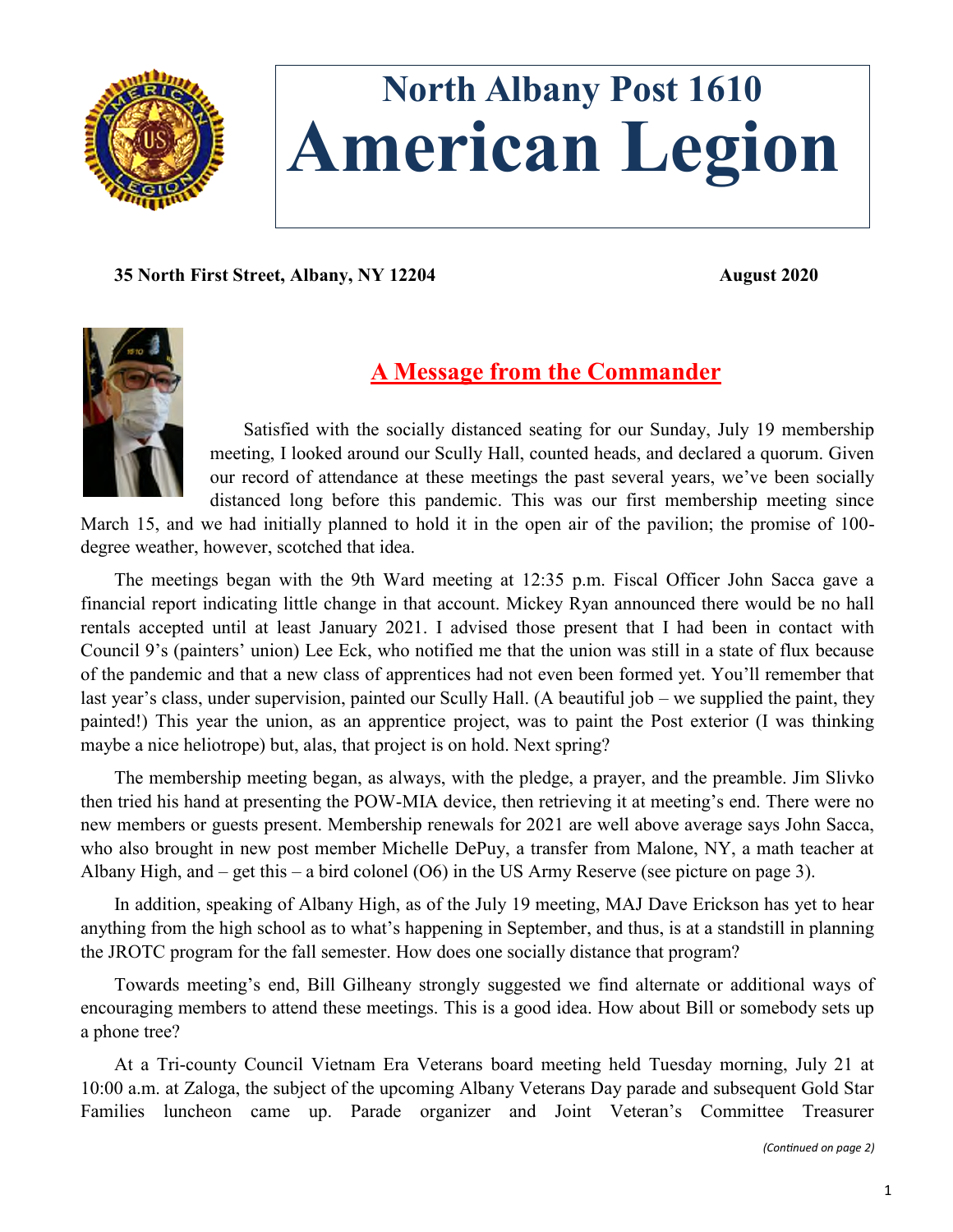

# **North Albany Post 1610 American Legion**

**35 North First Street, Albany, NY 12204 August 2020**



## **A Message from the Commander**

Satisfied with the socially distanced seating for our Sunday, July 19 membership meeting, I looked around our Scully Hall, counted heads, and declared a quorum. Given our record of attendance at these meetings the past several years, we've been socially distanced long before this pandemic. This was our first membership meeting since

March 15, and we had initially planned to hold it in the open air of the pavilion; the promise of 100 degree weather, however, scotched that idea.

The meetings began with the 9th Ward meeting at 12:35 p.m. Fiscal Officer John Sacca gave a financial report indicating little change in that account. Mickey Ryan announced there would be no hall rentals accepted until at least January 2021. I advised those present that I had been in contact with Council 9's (painters' union) Lee Eck, who notified me that the union was still in a state of flux because of the pandemic and that a new class of apprentices had not even been formed yet. You'll remember that last year's class, under supervision, painted our Scully Hall. (A beautiful job – we supplied the paint, they painted!) This year the union, as an apprentice project, was to paint the Post exterior (I was thinking maybe a nice heliotrope) but, alas, that project is on hold. Next spring?

The membership meeting began, as always, with the pledge, a prayer, and the preamble. Jim Slivko then tried his hand at presenting the POW-MIA device, then retrieving it at meeting's end. There were no new members or guests present. Membership renewals for 2021 are well above average says John Sacca, who also brought in new post member Michelle DePuy, a transfer from Malone, NY, a math teacher at Albany High, and – get this – a bird colonel (O6) in the US Army Reserve (see picture on page 3).

In addition, speaking of Albany High, as of the July 19 meeting, MAJ Dave Erickson has yet to hear anything from the high school as to what's happening in September, and thus, is at a standstill in planning the JROTC program for the fall semester. How does one socially distance that program?

Towards meeting's end, Bill Gilheany strongly suggested we find alternate or additional ways of encouraging members to attend these meetings. This is a good idea. How about Bill or somebody sets up a phone tree?

At a Tri-county Council Vietnam Era Veterans board meeting held Tuesday morning, July 21 at 10:00 a.m. at Zaloga, the subject of the upcoming Albany Veterans Day parade and subsequent Gold Star Families luncheon came up. Parade organizer and Joint Veteran's Committee Treasurer

*(Continued on page 2)*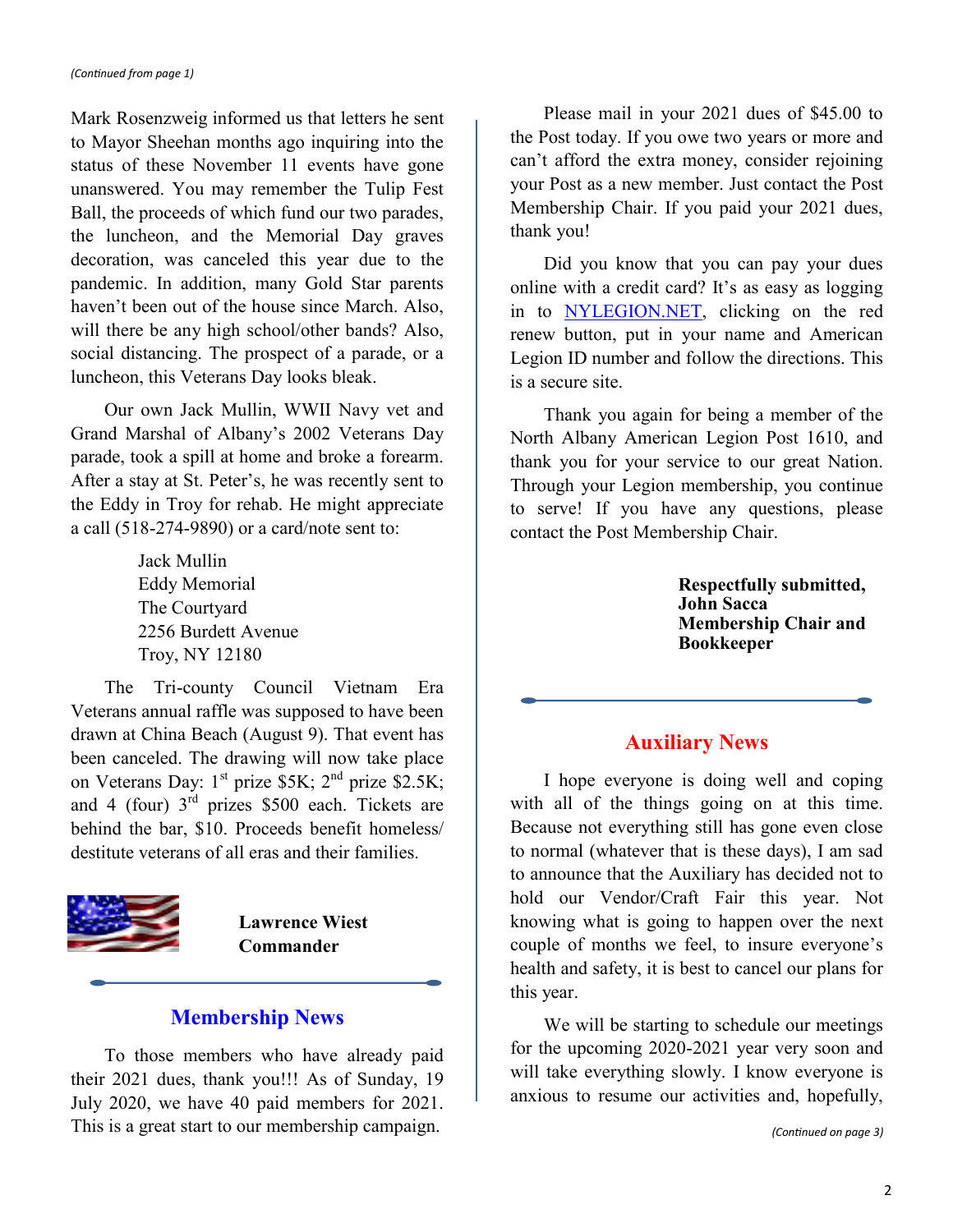Mark Rosenzweig informed us that letters he sent to Mayor Sheehan months ago inquiring into the status of these November 11 events have gone unanswered. You may remember the Tulip Fest Ball, the proceeds of which fund our two parades, the luncheon, and the Memorial Day graves decoration, was canceled this year due to the pandemic. In addition, many Gold Star parents haven't been out of the house since March. Also, will there be any high school/other bands? Also, social distancing. The prospect of a parade, or a luncheon, this Veterans Day looks bleak.

Our own Jack Mullin, WWII Navy vet and Grand Marshal of Albany's 2002 Veterans Day parade, took a spill at home and broke a forearm. After a stay at St. Peter's, he was recently sent to the Eddy in Troy for rehab. He might appreciate a call (518-274-9890) or a card/note sent to:

> Jack Mullin Eddy Memorial The Courtyard 2256 Burdett Avenue Troy, NY 12180

The Tri-county Council Vietnam Era Veterans annual raffle was supposed to have been drawn at China Beach (August 9). That event has been canceled. The drawing will now take place on Veterans Day:  $1^{st}$  prize \$5K;  $2^{nd}$  prize \$2.5K; and 4 (four)  $3<sup>rd</sup>$  prizes \$500 each. Tickets are behind the bar, \$10. Proceeds benefit homeless/ destitute veterans of all eras and their families.



**Lawrence Wiest Commander**

## **Membership News**

To those members who have already paid their 2021 dues, thank you!!! As of Sunday, 19 July 2020, we have 40 paid members for 2021. This is a great start to our membership campaign.

Please mail in your 2021 dues of \$45.00 to the Post today. If you owe two years or more and can't afford the extra money, consider rejoining your Post as a new member. Just contact the Post Membership Chair. If you paid your 2021 dues, thank you!

Did you know that you can pay your dues online with a credit card? It's as easy as logging in to [NYLEGION.NET,](https://nylegion.net/) clicking on the red renew button, put in your name and American Legion ID number and follow the directions. This is a secure site.

Thank you again for being a member of the North Albany American Legion Post 1610, and thank you for your service to our great Nation. Through your Legion membership, you continue to serve! If you have any questions, please contact the Post Membership Chair.

> **Respectfully submitted, John Sacca Membership Chair and Bookkeeper**

## **Auxiliary News**

I hope everyone is doing well and coping with all of the things going on at this time. Because not everything still has gone even close to normal (whatever that is these days), I am sad to announce that the Auxiliary has decided not to hold our Vendor/Craft Fair this year. Not knowing what is going to happen over the next couple of months we feel, to insure everyone's health and safety, it is best to cancel our plans for this year.

We will be starting to schedule our meetings for the upcoming 2020-2021 year very soon and will take everything slowly. I know everyone is anxious to resume our activities and, hopefully,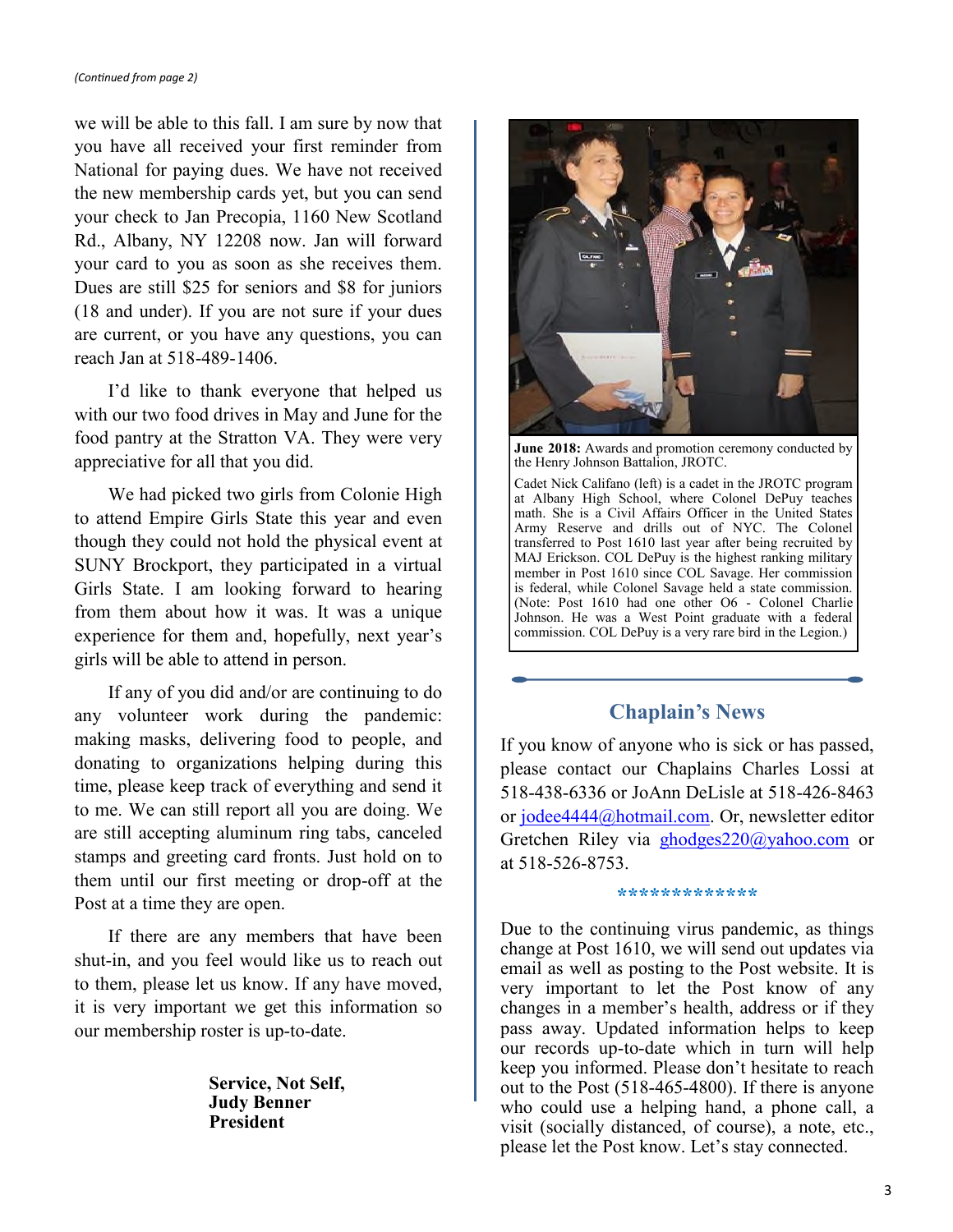#### *(Continued from page 2)*

we will be able to this fall. I am sure by now that you have all received your first reminder from National for paying dues. We have not received the new membership cards yet, but you can send your check to Jan Precopia, 1160 New Scotland Rd., Albany, NY 12208 now. Jan will forward your card to you as soon as she receives them. Dues are still \$25 for seniors and \$8 for juniors (18 and under). If you are not sure if your dues are current, or you have any questions, you can reach Jan at 518-489-1406.

I'd like to thank everyone that helped us with our two food drives in May and June for the food pantry at the Stratton VA. They were very appreciative for all that you did.

We had picked two girls from Colonie High to attend Empire Girls State this year and even though they could not hold the physical event at SUNY Brockport, they participated in a virtual Girls State. I am looking forward to hearing from them about how it was. It was a unique experience for them and, hopefully, next year's girls will be able to attend in person.

If any of you did and/or are continuing to do any volunteer work during the pandemic: making masks, delivering food to people, and donating to organizations helping during this time, please keep track of everything and send it to me. We can still report all you are doing. We are still accepting aluminum ring tabs, canceled stamps and greeting card fronts. Just hold on to them until our first meeting or drop-off at the Post at a time they are open.

If there are any members that have been shut-in, and you feel would like us to reach out to them, please let us know. If any have moved, it is very important we get this information so our membership roster is up-to-date.

> **Service, Not Self, Judy Benner President**



**June 2018:** Awards and promotion ceremony conducted by the Henry Johnson Battalion, JROTC.

Cadet Nick Califano (left) is a cadet in the JROTC program at Albany High School, where Colonel DePuy teaches math. She is a Civil Affairs Officer in the United States Army Reserve and drills out of NYC. The Colonel transferred to Post 1610 last year after being recruited by MAJ Erickson. COL DePuy is the highest ranking military member in Post 1610 since COL Savage. Her commission is federal, while Colonel Savage held a state commission. (Note: Post 1610 had one other O6 - Colonel Charlie Johnson. He was a West Point graduate with a federal commission. COL DePuy is a very rare bird in the Legion.)

## **Chaplain's News**

If you know of anyone who is sick or has passed, please contact our Chaplains Charles Lossi at 518-438-6336 or JoAnn DeLisle at 518-426-8463 or [jodee4444@hotmail.com.](mailto:jodee4444@hotmail.com) Or, newsletter editor Gretchen Riley via [ghodges220@yahoo.com](mailto:ghodges220@yahoo.com) or at 518-526-8753.

#### **\*\*\*\*\*\*\*\*\*\*\*\*\***

Due to the continuing virus pandemic, as things change at Post 1610, we will send out updates via email as well as posting to the Post website. It is very important to let the Post know of any changes in a member's health, address or if they pass away. Updated information helps to keep our records up-to-date which in turn will help keep you informed. Please don't hesitate to reach out to the Post (518-465-4800). If there is anyone who could use a helping hand, a phone call, a visit (socially distanced, of course), a note, etc., please let the Post know. Let's stay connected.